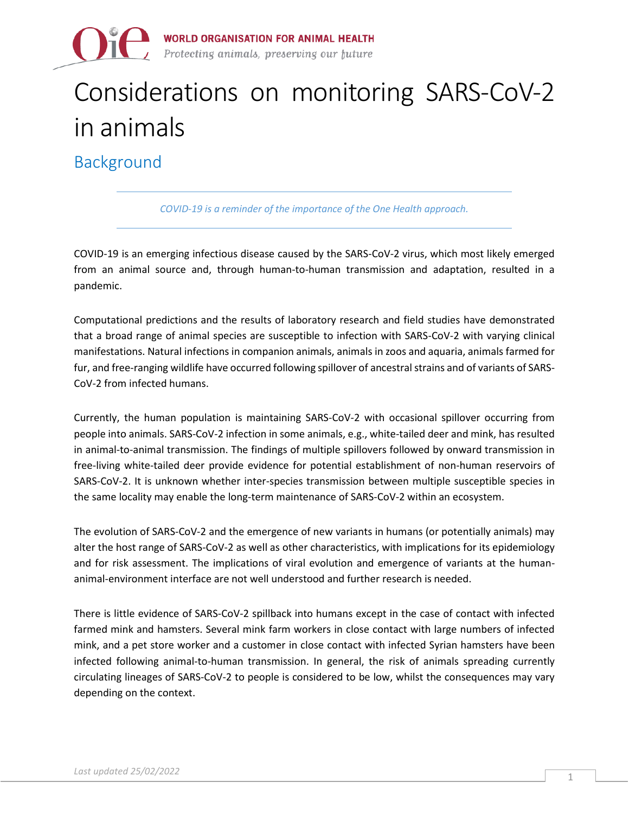

# Considerations on monitoring SARS-CoV-2 in animals

Background

*COVID-19 is a reminder of the importance of the One Health approach.*

COVID-19 is an emerging infectious disease caused by the SARS-CoV-2 virus, which most likely emerged from an animal source and, through human-to-human transmission and adaptation, resulted in a pandemic.

Computational predictions and the results of laboratory research and field studies have demonstrated that a broad range of animal species are susceptible to infection with SARS-CoV-2 with varying clinical manifestations. Natural infections in companion animals, animals in zoos and aquaria, animals farmed for fur, and free-ranging wildlife have occurred following spillover of ancestral strains and of variants of SARS-CoV-2 from infected humans.

Currently, the human population is maintaining SARS-CoV-2 with occasional spillover occurring from people into animals. SARS-CoV-2 infection in some animals, e.g., white-tailed deer and mink, has resulted in animal-to-animal transmission. The findings of multiple spillovers followed by onward transmission in free-living white-tailed deer provide evidence for potential establishment of non-human reservoirs of SARS-CoV-2. It is unknown whether inter-species transmission between multiple susceptible species in the same locality may enable the long-term maintenance of SARS-CoV-2 within an ecosystem.

The evolution of SARS-CoV-2 and the emergence of new variants in humans (or potentially animals) may alter the host range of SARS-CoV-2 as well as other characteristics, with implications for its epidemiology and for risk assessment. The implications of viral evolution and emergence of variants at the humananimal-environment interface are not well understood and further research is needed.

There is little evidence of SARS-CoV-2 spillback into humans except in the case of contact with infected farmed mink and hamsters. Several mink farm workers in close contact with large numbers of infected mink, and a pet store worker and a customer in close contact with infected Syrian hamsters have been infected following animal-to-human transmission. In general, the risk of animals spreading currently circulating lineages of SARS-CoV-2 to people is considered to be low, whilst the consequences may vary depending on the context.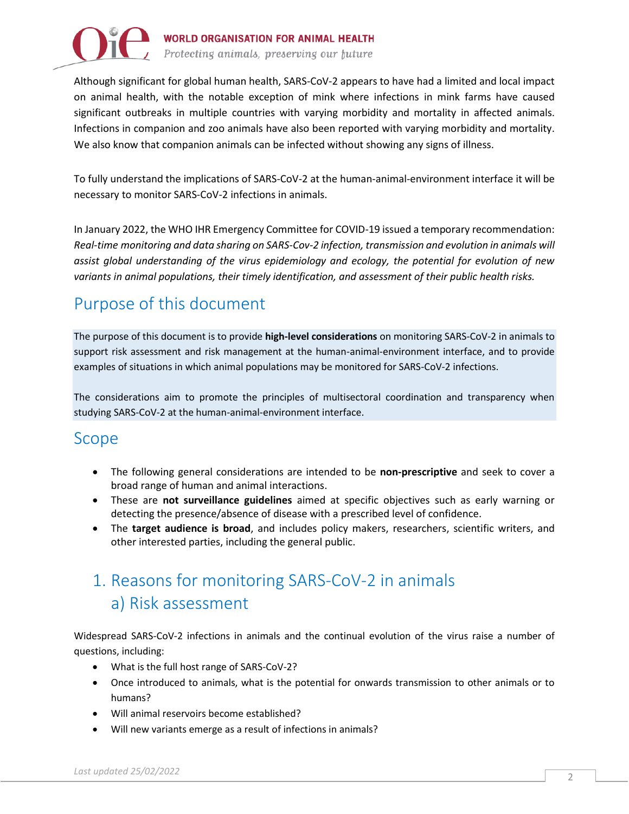

Although significant for global human health, SARS-CoV-2 appears to have had a limited and local impact on animal health, with the notable exception of mink where infections in mink farms have caused significant outbreaks in multiple countries with varying morbidity and mortality in affected animals. Infections in companion and zoo animals have also been reported with varying morbidity and mortality. We also know that companion animals can be infected without showing any signs of illness.

To fully understand the implications of SARS-CoV-2 at the human-animal-environment interface it will be necessary to monitor SARS-CoV-2 infections in animals.

In January 2022, the WHO IHR Emergency Committee for COVID-19 issued a temporary recommendation: *Real-time monitoring and data sharing on SARS-Cov-2 infection, transmission and evolution in animals will assist global understanding of the virus epidemiology and ecology, the potential for evolution of new variants in animal populations, their timely identification, and assessment of their public health risks.*

# Purpose of this document

The purpose of this document is to provide **high-level considerations** on monitoring SARS-CoV-2 in animals to support risk assessment and risk management at the human-animal-environment interface, and to provide examples of situations in which animal populations may be monitored for SARS-CoV-2 infections.

The considerations aim to promote the principles of multisectoral coordination and transparency when studying SARS-CoV-2 at the human-animal-environment interface.

### Scope

- The following general considerations are intended to be **non-prescriptive** and seek to cover a broad range of human and animal interactions.
- These are **not surveillance guidelines** aimed at specific objectives such as early warning or detecting the presence/absence of disease with a prescribed level of confidence.
- The **target audience is broad**, and includes policy makers, researchers, scientific writers, and other interested parties, including the general public.

# 1. Reasons for monitoring SARS-CoV-2 in animals a) Risk assessment

Widespread SARS-CoV-2 infections in animals and the continual evolution of the virus raise a number of questions, including:

- What is the full host range of SARS-CoV-2?
- Once introduced to animals, what is the potential for onwards transmission to other animals or to humans?
- Will animal reservoirs become established?
- Will new variants emerge as a result of infections in animals?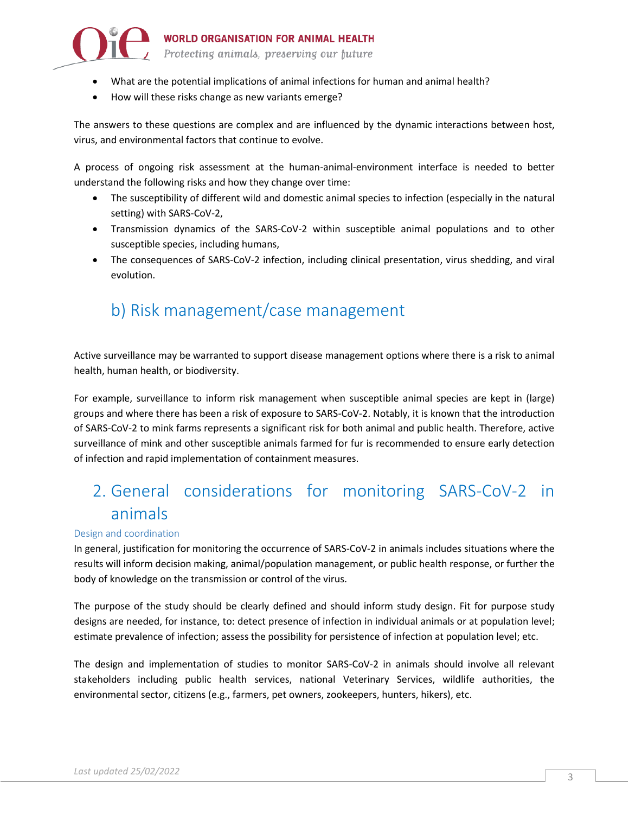

- What are the potential implications of animal infections for human and animal health?
- How will these risks change as new variants emerge?

The answers to these questions are complex and are influenced by the dynamic interactions between host, virus, and environmental factors that continue to evolve.

A process of ongoing risk assessment at the human-animal-environment interface is needed to better understand the following risks and how they change over time:

- The susceptibility of different wild and domestic animal species to infection (especially in the natural setting) with SARS-CoV-2,
- Transmission dynamics of the SARS-CoV-2 within susceptible animal populations and to other susceptible species, including humans,
- The consequences of SARS-CoV-2 infection, including clinical presentation, virus shedding, and viral evolution.

# b) Risk management/case management

Active surveillance may be warranted to support disease management options where there is a risk to animal health, human health, or biodiversity.

For example, surveillance to inform risk management when susceptible animal species are kept in (large) groups and where there has been a risk of exposure to SARS-CoV-2. Notably, it is known that the introduction of SARS-CoV-2 to mink farms represents a significant risk for both animal and public health. Therefore, active surveillance of mink and other susceptible animals farmed for fur is recommended to ensure early detection of infection and rapid implementation of containment measures.

# 2. General considerations for monitoring SARS-CoV-2 in animals

#### Design and coordination

In general, justification for monitoring the occurrence of SARS-CoV-2 in animals includes situations where the results will inform decision making, animal/population management, or public health response, or further the body of knowledge on the transmission or control of the virus.

The purpose of the study should be clearly defined and should inform study design. Fit for purpose study designs are needed, for instance, to: detect presence of infection in individual animals or at population level; estimate prevalence of infection; assess the possibility for persistence of infection at population level; etc.

The design and implementation of studies to monitor SARS-CoV-2 in animals should involve all relevant stakeholders including public health services, national Veterinary Services, wildlife authorities, the environmental sector, citizens (e.g., farmers, pet owners, zookeepers, hunters, hikers), etc.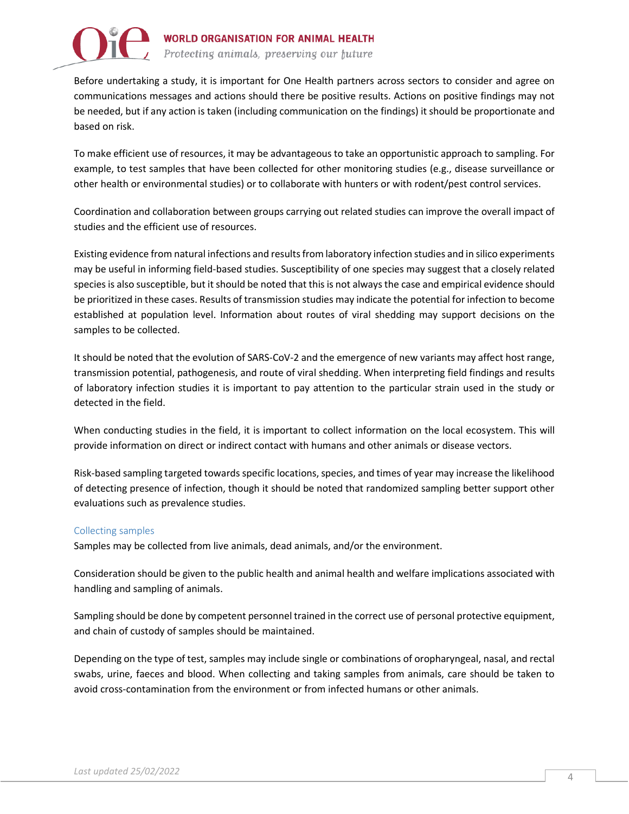

Before undertaking a study, it is important for One Health partners across sectors to consider and agree on communications messages and actions should there be positive results. Actions on positive findings may not be needed, but if any action is taken (including communication on the findings) it should be proportionate and based on risk.

To make efficient use of resources, it may be advantageous to take an opportunistic approach to sampling. For example, to test samples that have been collected for other monitoring studies (e.g., disease surveillance or other health or environmental studies) or to collaborate with hunters or with rodent/pest control services.

Coordination and collaboration between groups carrying out related studies can improve the overall impact of studies and the efficient use of resources.

Existing evidence from natural infections and results from laboratory infection studies and in silico experiments may be useful in informing field-based studies. Susceptibility of one species may suggest that a closely related species is also susceptible, but it should be noted that this is not always the case and empirical evidence should be prioritized in these cases. Results of transmission studies may indicate the potential for infection to become established at population level. Information about routes of viral shedding may support decisions on the samples to be collected.

It should be noted that the evolution of SARS-CoV-2 and the emergence of new variants may affect host range, transmission potential, pathogenesis, and route of viral shedding. When interpreting field findings and results of laboratory infection studies it is important to pay attention to the particular strain used in the study or detected in the field.

When conducting studies in the field, it is important to collect information on the local ecosystem. This will provide information on direct or indirect contact with humans and other animals or disease vectors.

Risk-based sampling targeted towards specific locations, species, and times of year may increase the likelihood of detecting presence of infection, though it should be noted that randomized sampling better support other evaluations such as prevalence studies.

#### Collecting samples

Samples may be collected from live animals, dead animals, and/or the environment.

Consideration should be given to the public health and animal health and welfare implications associated with handling and sampling of animals.

Sampling should be done by competent personnel trained in the correct use of personal protective equipment, and chain of custody of samples should be maintained.

Depending on the type of test, samples may include single or combinations of oropharyngeal, nasal, and rectal swabs, urine, faeces and blood. When collecting and taking samples from animals, care should be taken to avoid cross-contamination from the environment or from infected humans or other animals.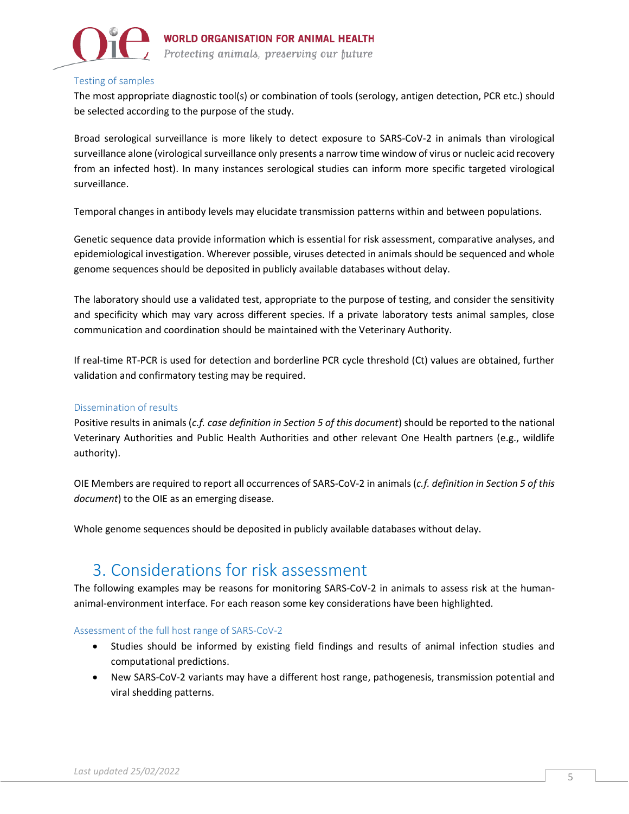

#### Testing of samples

The most appropriate diagnostic tool(s) or combination of tools (serology, antigen detection, PCR etc.) should be selected according to the purpose of the study.

Broad serological surveillance is more likely to detect exposure to SARS-CoV-2 in animals than virological surveillance alone (virological surveillance only presents a narrow time window of virus or nucleic acid recovery from an infected host). In many instances serological studies can inform more specific targeted virological surveillance.

Temporal changes in antibody levels may elucidate transmission patterns within and between populations.

Genetic sequence data provide information which is essential for risk assessment, comparative analyses, and epidemiological investigation. Wherever possible, viruses detected in animals should be sequenced and whole genome sequences should be deposited in publicly available databases without delay.

The laboratory should use a validated test, appropriate to the purpose of testing, and consider the sensitivity and specificity which may vary across different species. If a private laboratory tests animal samples, close communication and coordination should be maintained with the Veterinary Authority.

If real-time RT-PCR is used for detection and borderline PCR cycle threshold (Ct) values are obtained, further validation and confirmatory testing may be required.

#### Dissemination of results

Positive results in animals (*c.f. case definition in Section 5 of this document*) should be reported to the national Veterinary Authorities and Public Health Authorities and other relevant One Health partners (e.g., wildlife authority).

OIE Members are required to report all occurrences of SARS-CoV-2 in animals (*c.f. definition in Section 5 of this document*) to the OIE as an emerging disease.

Whole genome sequences should be deposited in publicly available databases without delay.

### 3. Considerations for risk assessment

The following examples may be reasons for monitoring SARS-CoV-2 in animals to assess risk at the humananimal-environment interface. For each reason some key considerations have been highlighted.

#### Assessment of the full host range of SARS-CoV-2

- Studies should be informed by existing field findings and results of animal infection studies and computational predictions.
- New SARS-CoV-2 variants may have a different host range, pathogenesis, transmission potential and viral shedding patterns.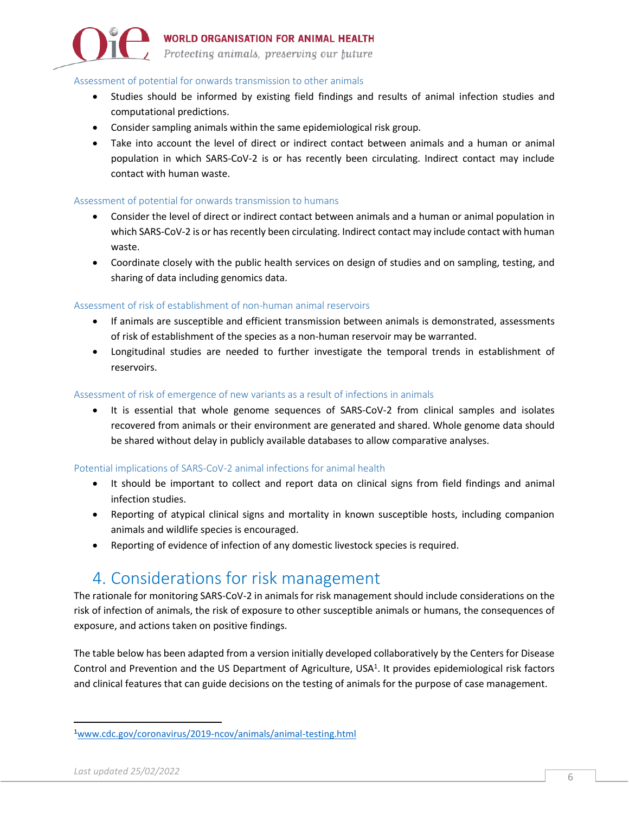

### **WORLD ORGANISATION FOR ANIMAL HEALTH**

Protecting animals, preserving our future

#### Assessment of potential for onwards transmission to other animals

- Studies should be informed by existing field findings and results of animal infection studies and computational predictions.
- Consider sampling animals within the same epidemiological risk group.
- Take into account the level of direct or indirect contact between animals and a human or animal population in which SARS-CoV-2 is or has recently been circulating. Indirect contact may include contact with human waste.

#### Assessment of potential for onwards transmission to humans

- Consider the level of direct or indirect contact between animals and a human or animal population in which SARS-CoV-2 is or has recently been circulating. Indirect contact may include contact with human waste.
- Coordinate closely with the public health services on design of studies and on sampling, testing, and sharing of data including genomics data.

#### Assessment of risk of establishment of non-human animal reservoirs

- If animals are susceptible and efficient transmission between animals is demonstrated, assessments of risk of establishment of the species as a non-human reservoir may be warranted.
- Longitudinal studies are needed to further investigate the temporal trends in establishment of reservoirs.

#### Assessment of risk of emergence of new variants as a result of infections in animals

• It is essential that whole genome sequences of SARS-CoV-2 from clinical samples and isolates recovered from animals or their environment are generated and shared. Whole genome data should be shared without delay in publicly available databases to allow comparative analyses.

#### Potential implications of SARS-CoV-2 animal infections for animal health

- It should be important to collect and report data on clinical signs from field findings and animal infection studies.
- Reporting of atypical clinical signs and mortality in known susceptible hosts, including companion animals and wildlife species is encouraged.
- Reporting of evidence of infection of any domestic livestock species is required.

### 4. Considerations for risk management

The rationale for monitoring SARS-CoV-2 in animals for risk management should include considerations on the risk of infection of animals, the risk of exposure to other susceptible animals or humans, the consequences of exposure, and actions taken on positive findings.

The table below has been adapted from a version initially developed collaboratively by the Centers for Disease Control and Prevention and the US Department of Agriculture, USA<sup>1</sup>. It provides epidemiological risk factors and clinical features that can guide decisions on the testing of animals for the purpose of case management.

<sup>1</sup>[www.cdc.gov/coronavirus/2019-ncov/animals/animal-testing.html](file:///C:/Users/dlx9/AppData/Local/Microsoft/Windows/INetCache/Content.Outlook/409KUQ3M/www.cdc.gov/coronavirus/2019-ncov/animals/animal-testing.html)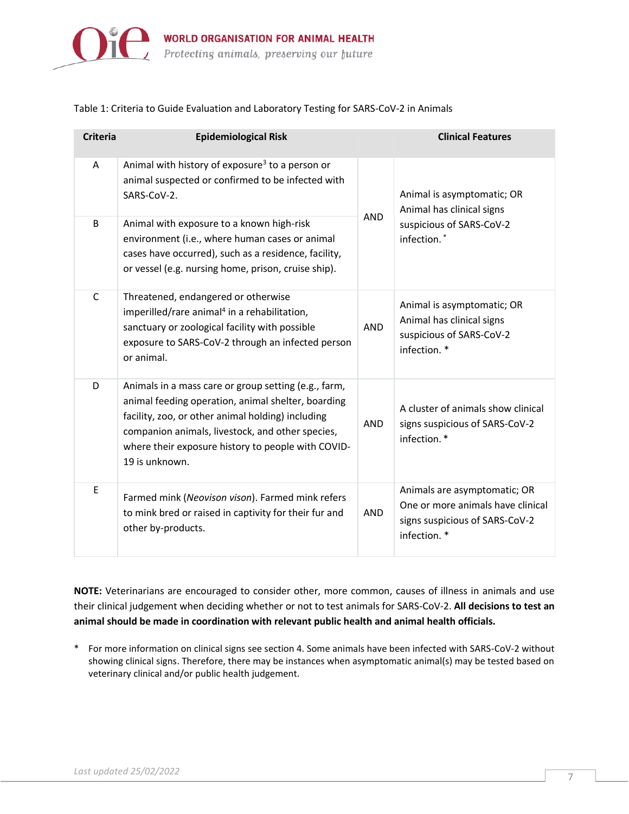

#### Table 1: Criteria to Guide Evaluation and Laboratory Testing for SARS-CoV-2 in Animals

| <b>Criteria</b> | <b>Epidemiological Risk</b>                                                                                                                                                                                                                                                                 |            | <b>Clinical Features</b>                                                                                            |
|-----------------|---------------------------------------------------------------------------------------------------------------------------------------------------------------------------------------------------------------------------------------------------------------------------------------------|------------|---------------------------------------------------------------------------------------------------------------------|
| Α               | Animal with history of exposure <sup>3</sup> to a person or<br>animal suspected or confirmed to be infected with<br>SARS-CoV-2.                                                                                                                                                             | <b>AND</b> | Animal is asymptomatic; OR<br>Animal has clinical signs<br>suspicious of SARS-CoV-2<br>infection. <sup>*</sup>      |
| B               | Animal with exposure to a known high-risk<br>environment (i.e., where human cases or animal<br>cases have occurred), such as a residence, facility,<br>or vessel (e.g. nursing home, prison, cruise ship).                                                                                  |            |                                                                                                                     |
| $\mathsf{C}$    | Threatened, endangered or otherwise<br>imperilled/rare animal <sup>4</sup> in a rehabilitation,<br>sanctuary or zoological facility with possible<br>exposure to SARS-CoV-2 through an infected person<br>or animal.                                                                        | AND        | Animal is asymptomatic; OR<br>Animal has clinical signs<br>suspicious of SARS-CoV-2<br>infection. *                 |
| D               | Animals in a mass care or group setting (e.g., farm,<br>animal feeding operation, animal shelter, boarding<br>facility, zoo, or other animal holding) including<br>companion animals, livestock, and other species,<br>where their exposure history to people with COVID-<br>19 is unknown. | <b>AND</b> | A cluster of animals show clinical<br>signs suspicious of SARS-CoV-2<br>infection.*                                 |
| E               | Farmed mink (Neovison vison). Farmed mink refers<br>to mink bred or raised in captivity for their fur and<br>other by-products.                                                                                                                                                             | <b>AND</b> | Animals are asymptomatic; OR<br>One or more animals have clinical<br>signs suspicious of SARS-CoV-2<br>infection. * |

**NOTE:** Veterinarians are encouraged to consider other, more common, causes of illness in animals and use their clinical judgement when deciding whether or not to test animals for SARS-CoV-2. **All decisions to test an animal should be made in coordination with relevant public health and animal health officials.**

\* For more information on clinical signs see section 4. Some animals have been infected with SARS-CoV-2 without showing clinical signs. Therefore, there may be instances when asymptomatic animal(s) may be tested based on veterinary clinical and/or public health judgement.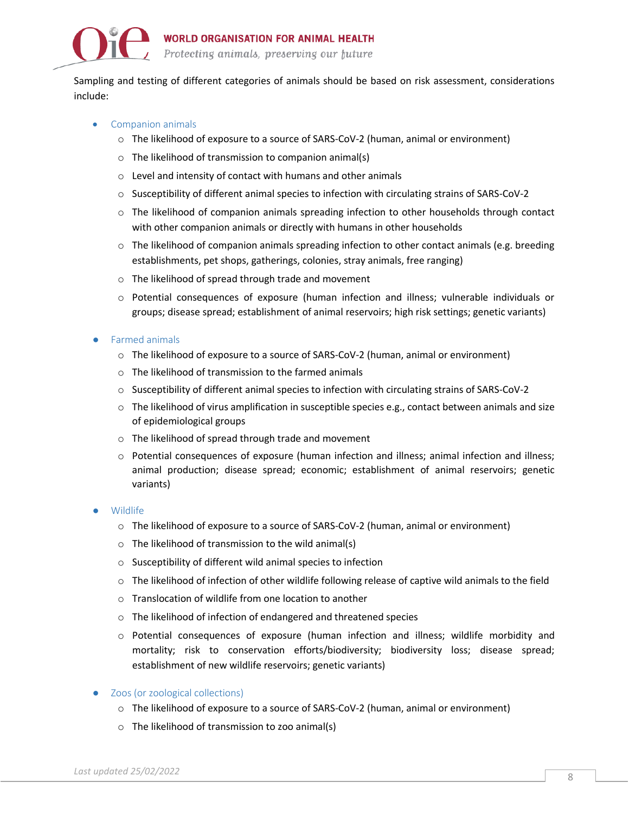

Sampling and testing of different categories of animals should be based on risk assessment, considerations include:

- Companion animals
	- o The likelihood of exposure to a source of SARS-CoV-2 (human, animal or environment)
	- o The likelihood of transmission to companion animal(s)
	- o Level and intensity of contact with humans and other animals
	- o Susceptibility of different animal species to infection with circulating strains of SARS-CoV-2
	- $\circ$  The likelihood of companion animals spreading infection to other households through contact with other companion animals or directly with humans in other households
	- $\circ$  The likelihood of companion animals spreading infection to other contact animals (e.g. breeding establishments, pet shops, gatherings, colonies, stray animals, free ranging)
	- o The likelihood of spread through trade and movement
	- o Potential consequences of exposure (human infection and illness; vulnerable individuals or groups; disease spread; establishment of animal reservoirs; high risk settings; genetic variants)
- Farmed animals
	- o The likelihood of exposure to a source of SARS-CoV-2 (human, animal or environment)
	- $\circ$  The likelihood of transmission to the farmed animals
	- o Susceptibility of different animal species to infection with circulating strains of SARS-CoV-2
	- $\circ$  The likelihood of virus amplification in susceptible species e.g., contact between animals and size of epidemiological groups
	- o The likelihood of spread through trade and movement
	- o Potential consequences of exposure (human infection and illness; animal infection and illness; animal production; disease spread; economic; establishment of animal reservoirs; genetic variants)
- **Wildlife** 
	- o The likelihood of exposure to a source of SARS-CoV-2 (human, animal or environment)
	- $\circ$  The likelihood of transmission to the wild animal(s)
	- o Susceptibility of different wild animal species to infection
	- $\circ$  The likelihood of infection of other wildlife following release of captive wild animals to the field
	- o Translocation of wildlife from one location to another
	- o The likelihood of infection of endangered and threatened species
	- o Potential consequences of exposure (human infection and illness; wildlife morbidity and mortality; risk to conservation efforts/biodiversity; biodiversity loss; disease spread; establishment of new wildlife reservoirs; genetic variants)
- Zoos (or zoological collections)
	- o The likelihood of exposure to a source of SARS-CoV-2 (human, animal or environment)
	- o The likelihood of transmission to zoo animal(s)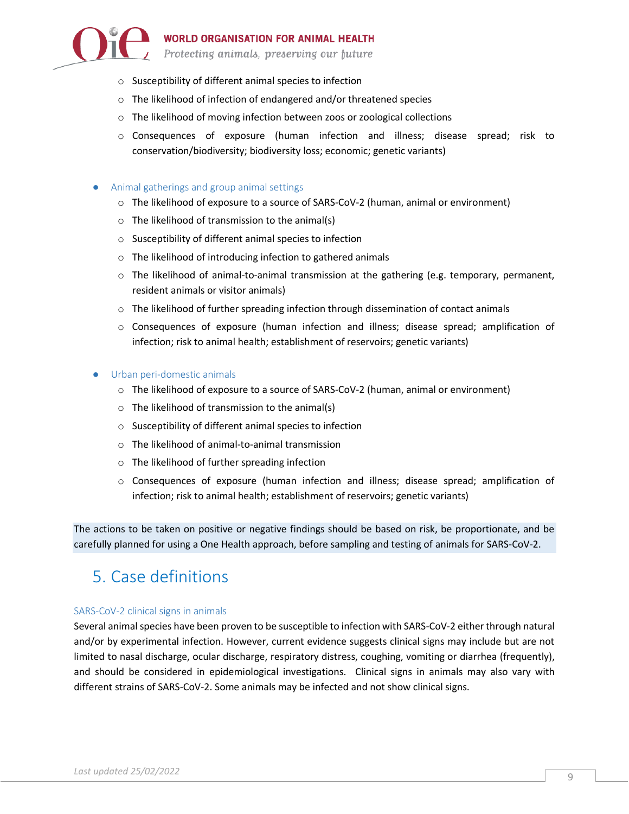

- o Susceptibility of different animal species to infection
- o The likelihood of infection of endangered and/or threatened species
- o The likelihood of moving infection between zoos or zoological collections
- o Consequences of exposure (human infection and illness; disease spread; risk to conservation/biodiversity; biodiversity loss; economic; genetic variants)

#### ● Animal gatherings and group animal settings

- o The likelihood of exposure to a source of SARS-CoV-2 (human, animal or environment)
- o The likelihood of transmission to the animal(s)
- o Susceptibility of different animal species to infection
- o The likelihood of introducing infection to gathered animals
- o The likelihood of animal-to-animal transmission at the gathering (e.g. temporary, permanent, resident animals or visitor animals)
- $\circ$  The likelihood of further spreading infection through dissemination of contact animals
- o Consequences of exposure (human infection and illness; disease spread; amplification of infection; risk to animal health; establishment of reservoirs; genetic variants)

#### ● Urban peri-domestic animals

- o The likelihood of exposure to a source of SARS-CoV-2 (human, animal or environment)
- $\circ$  The likelihood of transmission to the animal(s)
- o Susceptibility of different animal species to infection
- o The likelihood of animal-to-animal transmission
- o The likelihood of further spreading infection
- o Consequences of exposure (human infection and illness; disease spread; amplification of infection; risk to animal health; establishment of reservoirs; genetic variants)

The actions to be taken on positive or negative findings should be based on risk, be proportionate, and be carefully planned for using a One Health approach, before sampling and testing of animals for SARS-CoV-2.

# 5. Case definitions

#### SARS-CoV-2 clinical signs in animals

Several animal species have been proven to be susceptible to infection with SARS-CoV-2 either through natural and/or by experimental infection. However, current evidence suggests clinical signs may include but are not limited to nasal discharge, ocular discharge, respiratory distress, coughing, vomiting or diarrhea (frequently), and should be considered in epidemiological investigations. Clinical signs in animals may also vary with different strains of SARS-CoV-2. Some animals may be infected and not show clinical signs.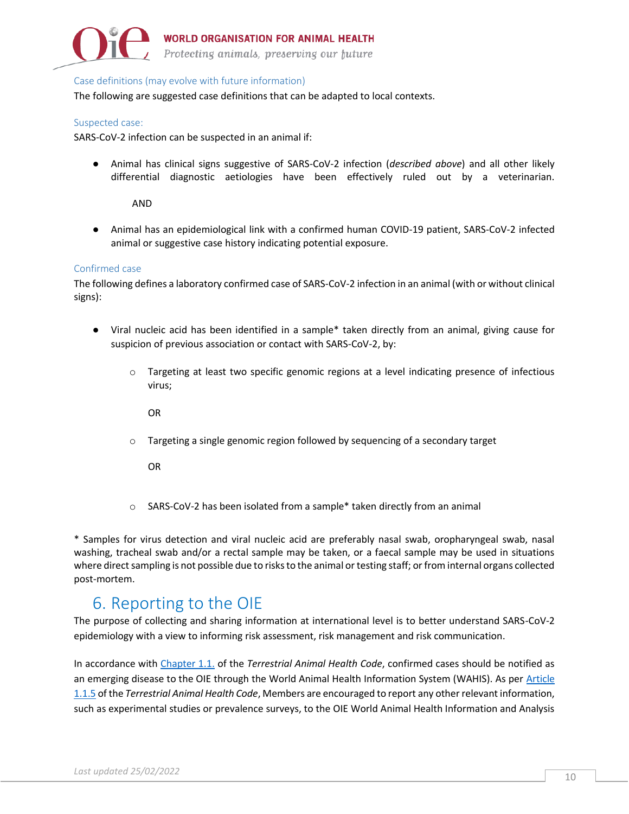

Protecting animals, preserving our future

#### Case definitions (may evolve with future information)

The following are suggested case definitions that can be adapted to local contexts.

#### Suspected case:

SARS-CoV-2 infection can be suspected in an animal if:

● Animal has clinical signs suggestive of SARS-CoV-2 infection (*described above*) and all other likely differential diagnostic aetiologies have been effectively ruled out by a veterinarian.

#### AND

● Animal has an epidemiological link with a confirmed human COVID-19 patient, SARS-CoV-2 infected animal or suggestive case history indicating potential exposure.

#### Confirmed case

The following defines a laboratory confirmed case of SARS-CoV-2 infection in an animal (with or without clinical signs):

- Viral nucleic acid has been identified in a sample\* taken directly from an animal, giving cause for suspicion of previous association or contact with SARS-CoV-2, by:
	- $\circ$  Targeting at least two specific genomic regions at a level indicating presence of infectious virus;

OR

o Targeting a single genomic region followed by sequencing of a secondary target

OR

o SARS-CoV-2 has been isolated from a sample\* taken directly from an animal

\* Samples for virus detection and viral nucleic acid are preferably nasal swab, oropharyngeal swab, nasal washing, tracheal swab and/or a rectal sample may be taken, or a faecal sample may be used in situations where direct sampling is not possible due to risks to the animal or testing staff; or from internal organs collected post-mortem.

### 6. Reporting to the OIE

The purpose of collecting and sharing information at international level is to better understand SARS-CoV-2 epidemiology with a view to informing risk assessment, risk management and risk communication.

In accordance with [Chapter 1.1.](https://www.oie.int/index.php?id=169&L=0&htmfile=chapitre_notification.htm) of the *Terrestrial Animal Health Code*, confirmed cases should be notified as an emerging disease to the OIE through the World Animal Health Information System (WAHIS). As per Article [1.1.5](https://www.oie.int/index.php?id=169&L=0&htmfile=chapitre_notification.htm) of the *Terrestrial Animal Health Code*, Members are encouraged to report any other relevant information, such as experimental studies or prevalence surveys, to the OIE World Animal Health Information and Analysis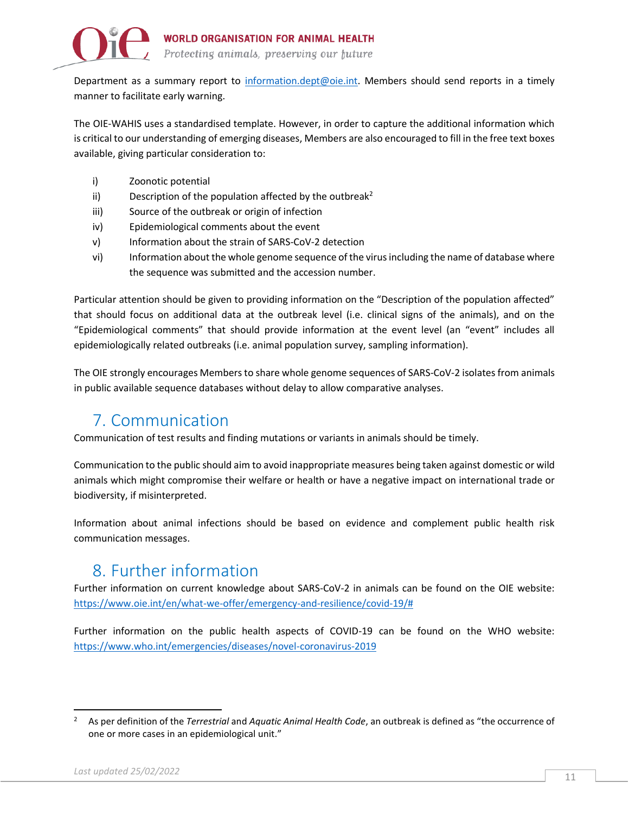

Department as a summary report to [information.dept@oie.int.](mailto:information.dept@oie.int) Members should send reports in a timely manner to facilitate early warning.

The OIE-WAHIS uses a standardised template. However, in order to capture the additional information which is critical to our understanding of emerging diseases, Members are also encouraged to fill in the free text boxes available, giving particular consideration to:

- i) Zoonotic potential
- ii) Description of the population affected by the outbreak<sup>2</sup>
- iii) Source of the outbreak or origin of infection
- iv) Epidemiological comments about the event
- v) Information about the strain of SARS-CoV-2 detection
- vi) Information about the whole genome sequence of the virus including the name of database where the sequence was submitted and the accession number.

Particular attention should be given to providing information on the "Description of the population affected" that should focus on additional data at the outbreak level (i.e. clinical signs of the animals), and on the "Epidemiological comments" that should provide information at the event level (an "event" includes all epidemiologically related outbreaks (i.e. animal population survey, sampling information).

The OIE strongly encourages Members to share whole genome sequences of SARS-CoV-2 isolates from animals in public available sequence databases without delay to allow comparative analyses.

### 7. Communication

Communication of test results and finding mutations or variants in animals should be timely.

Communication to the public should aim to avoid inappropriate measures being taken against domestic or wild animals which might compromise their welfare or health or have a negative impact on international trade or biodiversity, if misinterpreted.

Information about animal infections should be based on evidence and complement public health risk communication messages.

### 8. Further information

Further information on current knowledge about SARS-CoV-2 in animals can be found on the OIE website: [https://www.oie.int/en/what-we-offer/emergency-and-resilience/covid-19/#](https://www.oie.int/en/what-we-offer/emergency-and-resilience/covid-19/)

Further information on the public health aspects of COVID-19 can be found on the WHO website: <https://www.who.int/emergencies/diseases/novel-coronavirus-2019>

<sup>2</sup> As per definition of the *Terrestrial* and *Aquatic Animal Health Code*, an outbreak is defined as "the occurrence of one or more cases in an epidemiological unit."